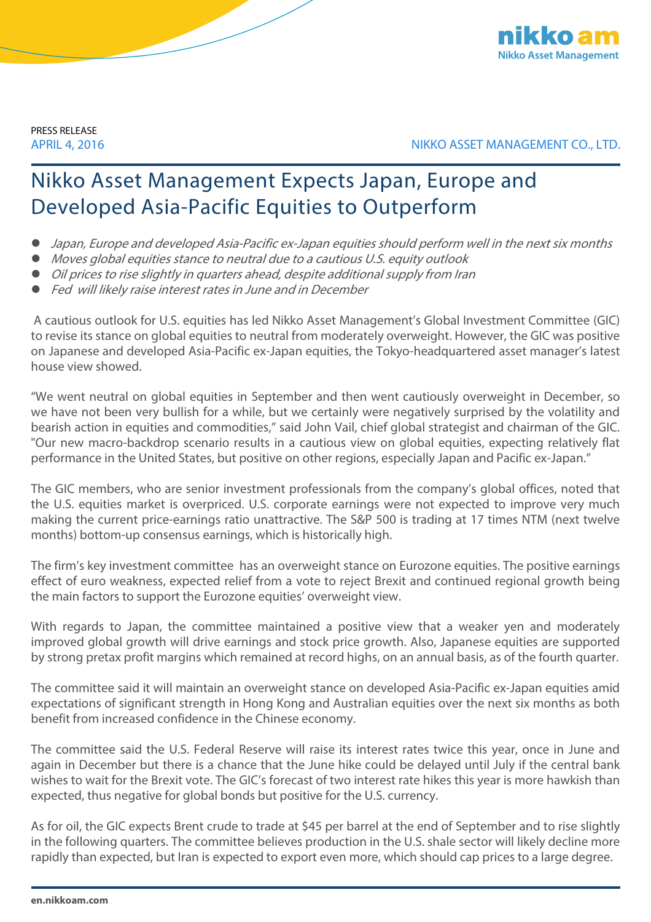

PRESS RELEASE

APRIL 4, 2016 NIKKO ASSET MANAGEMENT CO., LTD.

## Nikko Asset Management Expects Japan, Europe and Developed Asia-Pacific Equities to Outperform

- Japan, Europe and developed Asia-Pacific ex-Japan equities should perform well in the next six months
- Moves global equities stance to neutral due to a cautious U.S. equity outlook
- $\bullet$  Oil prices to rise slightly in quarters ahead, despite additional supply from Iran
- Fed will likely raise interest rates in June and in December

A cautious outlook for U.S. equities has led Nikko Asset Management's Global Investment Committee (GIC) to revise its stance on global equities to neutral from moderately overweight. However, the GIC was positive on Japanese and developed Asia-Pacific ex-Japan equities, the Tokyo-headquartered asset manager's latest house view showed.

"We went neutral on global equities in September and then went cautiously overweight in December, so we have not been very bullish for a while, but we certainly were negatively surprised by the volatility and bearish action in equities and commodities," said John Vail, chief global strategist and chairman of the GIC. "Our new macro-backdrop scenario results in a cautious view on global equities, expecting relatively flat performance in the United States, but positive on other regions, especially Japan and Pacific ex-Japan."

The GIC members, who are senior investment professionals from the company's global offices, noted that the U.S. equities market is overpriced. U.S. corporate earnings were not expected to improve very much making the current price-earnings ratio unattractive. The S&P 500 is trading at 17 times NTM (next twelve months) bottom-up consensus earnings, which is historically high.

The firm's key investment committee has an overweight stance on Eurozone equities. The positive earnings effect of euro weakness, expected relief from a vote to reject Brexit and continued regional growth being the main factors to support the Eurozone equities' overweight view.

With regards to Japan, the committee maintained a positive view that a weaker yen and moderately improved global growth will drive earnings and stock price growth. Also, Japanese equities are supported by strong pretax profit margins which remained at record highs, on an annual basis, as of the fourth quarter.

The committee said it will maintain an overweight stance on developed Asia-Pacific ex-Japan equities amid expectations of significant strength in Hong Kong and Australian equities over the next six months as both benefit from increased confidence in the Chinese economy.

The committee said the U.S. Federal Reserve will raise its interest rates twice this year, once in June and again in December but there is a chance that the June hike could be delayed until July if the central bank wishes to wait for the Brexit vote. The GIC's forecast of two interest rate hikes this year is more hawkish than expected, thus negative for global bonds but positive for the U.S. currency.

As for oil, the GIC expects Brent crude to trade at \$45 per barrel at the end of September and to rise slightly in the following quarters. The committee believes production in the U.S. shale sector will likely decline more rapidly than expected, but Iran is expected to export even more, which should cap prices to a large degree.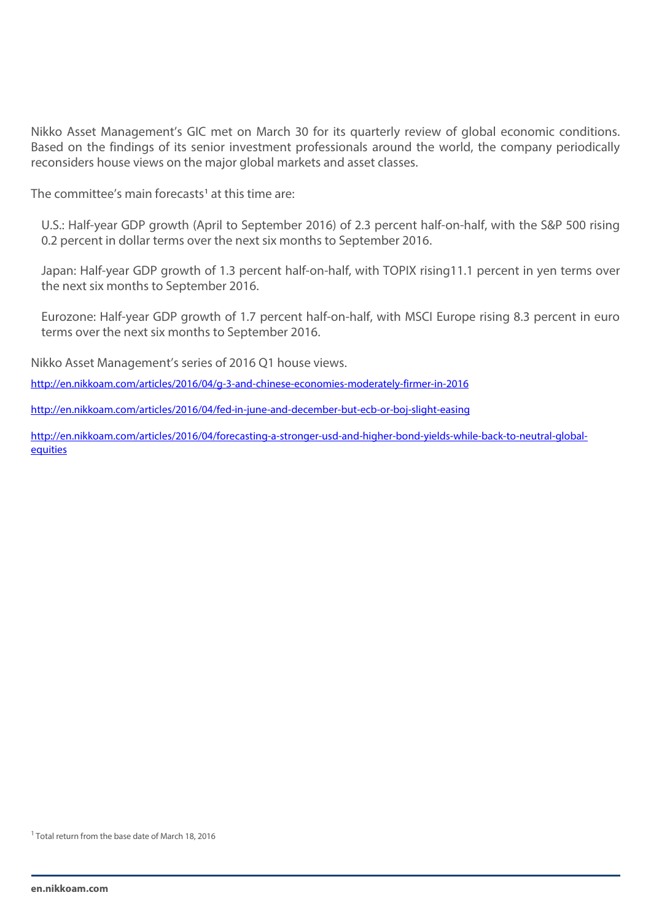Nikko Asset Management's GIC met on March 30 for its quarterly review of global economic conditions. Based on the findings of its senior investment professionals around the world, the company periodically reconsiders house views on the major global markets and asset classes.

The committee's main forecasts<sup>[1](#page-1-0)</sup> at this time are:

U.S.: Half-year GDP growth (April to September 2016) of 2.3 percent half-on-half, with the S&P 500 rising 0.2 percent in dollar terms over the next six months to September 2016.

Japan: Half-year GDP growth of 1.3 percent half-on-half, with TOPIX rising11.1 percent in yen terms over the next six months to September 2016.

Eurozone: Half-year GDP growth of 1.7 percent half-on-half, with MSCI Europe rising 8.3 percent in euro terms over the next six months to September 2016.

Nikko Asset Management's series of 2016 Q1 house views.

<http://en.nikkoam.com/articles/2016/04/g-3-and-chinese-economies-moderately-firmer-in-2016>

<http://en.nikkoam.com/articles/2016/04/fed-in-june-and-december-but-ecb-or-boj-slight-easing>

[http://en.nikkoam.com/articles/2016/04/forecasting-a-stronger-usd-and-higher-bond-yields-while-back-to-neutral-global](http://en.nikkoam.com/articles/2016/04/forecasting-a-stronger-usd-and-higher-bond-yields-while-back-to-neutral-global-equities)[equities](http://en.nikkoam.com/articles/2016/04/forecasting-a-stronger-usd-and-higher-bond-yields-while-back-to-neutral-global-equities)

<span id="page-1-0"></span><sup>1</sup> Total return from the base date of March 18, 2016